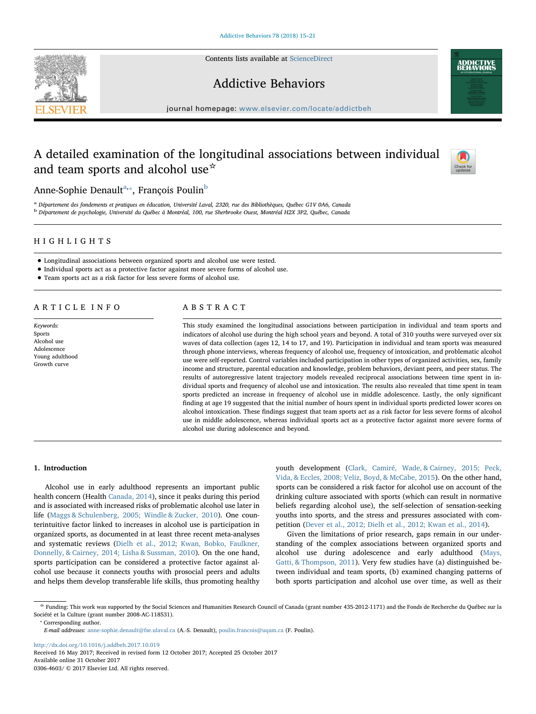Contents lists available at [ScienceDirect](http://www.sciencedirect.com/science/journal/03064603)





journal homepage: [www.elsevier.com/locate/addictbeh](https://www.elsevier.com/locate/addictbeh)

# A detailed examination of the longitudinal associations between individual and team sports and alcohol use<sup>☆</sup>



**ADDICTIVE**<br>REHAVIORS

Anne-Sophie Denault<sup>[a,](#page-0-0)</sup>\*, François Poulin<sup>[b](#page-0-2)</sup>

<span id="page-0-2"></span><span id="page-0-0"></span><sup>a</sup> Département des fondements et pratiques en éducation, Université Laval, 2320, rue des Bibliothèques, Québec G1V 0A6, Canada <sup>b</sup> Département de psychologie, Université du Québec à Montréal, 100, rue Sherbrooke Ouest, Montréal H2X 3P2, Québec, Canada

## HIGHLIGHTS

- Longitudinal associations between organized sports and alcohol use were tested.
- Individual sports act as a protective factor against more severe forms of alcohol use.
- Team sports act as a risk factor for less severe forms of alcohol use.

## ARTICLE INFO

Keywords: Sports Alcohol use Adolescence Young adulthood Growth curve

## ABSTRACT

This study examined the longitudinal associations between participation in individual and team sports and indicators of alcohol use during the high school years and beyond. A total of 310 youths were surveyed over six waves of data collection (ages 12, 14 to 17, and 19). Participation in individual and team sports was measured through phone interviews, whereas frequency of alcohol use, frequency of intoxication, and problematic alcohol use were self-reported. Control variables included participation in other types of organized activities, sex, family income and structure, parental education and knowledge, problem behaviors, deviant peers, and peer status. The results of autoregressive latent trajectory models revealed reciprocal associations between time spent in individual sports and frequency of alcohol use and intoxication. The results also revealed that time spent in team sports predicted an increase in frequency of alcohol use in middle adolescence. Lastly, the only significant finding at age 19 suggested that the initial number of hours spent in individual sports predicted lower scores on alcohol intoxication. These findings suggest that team sports act as a risk factor for less severe forms of alcohol use in middle adolescence, whereas individual sports act as a protective factor against more severe forms of alcohol use during adolescence and beyond.

## 1. Introduction

Alcohol use in early adulthood represents an important public health concern (Health [Canada, 2014](#page-5-0)), since it peaks during this period and is associated with increased risks of problematic alcohol use later in life ([Maggs & Schulenberg, 2005; Windle & Zucker, 2010](#page-6-0)). One counterintuitive factor linked to increases in alcohol use is participation in organized sports, as documented in at least three recent meta-analyses and systematic reviews [\(Dielh et al., 2012; Kwan, Bobko, Faulkner,](#page-6-1) [Donnelly, & Cairney, 2014; Lisha & Sussman, 2010\)](#page-6-1). On the one hand, sports participation can be considered a protective factor against alcohol use because it connects youths with prosocial peers and adults and helps them develop transferable life skills, thus promoting healthy

youth development [\(Clark, Camiré, Wade, & Cairney, 2015; Peck,](#page-5-1) [Vida, & Eccles, 2008; Veliz, Boyd, & McCabe, 2015\)](#page-5-1). On the other hand, sports can be considered a risk factor for alcohol use on account of the drinking culture associated with sports (which can result in normative beliefs regarding alcohol use), the self-selection of sensation-seeking youths into sports, and the stress and pressures associated with competition ([Dever et al., 2012; Dielh et al., 2012; Kwan et al., 2014](#page-6-2)).

Given the limitations of prior research, gaps remain in our understanding of the complex associations between organized sports and alcohol use during adolescence and early adulthood ([Mays,](#page-6-3) [Gatti, & Thompson, 2011\)](#page-6-3). Very few studies have (a) distinguished between individual and team sports, (b) examined changing patterns of both sports participation and alcohol use over time, as well as their

<span id="page-0-1"></span>

<http://dx.doi.org/10.1016/j.addbeh.2017.10.019> Received 16 May 2017; Received in revised form 12 October 2017; Accepted 25 October 2017 Available online 31 October 2017

0306-4603/ © 2017 Elsevier Ltd. All rights reserved.

<sup>☆</sup> Funding: This work was supported by the Social Sciences and Humanities Research Council of Canada (grant number 435-2012-1171) and the Fonds de Recherche du Québec sur la Société et la Culture (grant number 2008-AC-118531).<br>
\* Corresponding author.

E-mail addresses: [anne-sophie.denault@fse.ulaval.ca](mailto:anne-sophie.denault@fse.ulaval.ca) (A.-S. Denault), [poulin.francois@uqam.ca](mailto:poulin.francois@uqam.ca) (F. Poulin).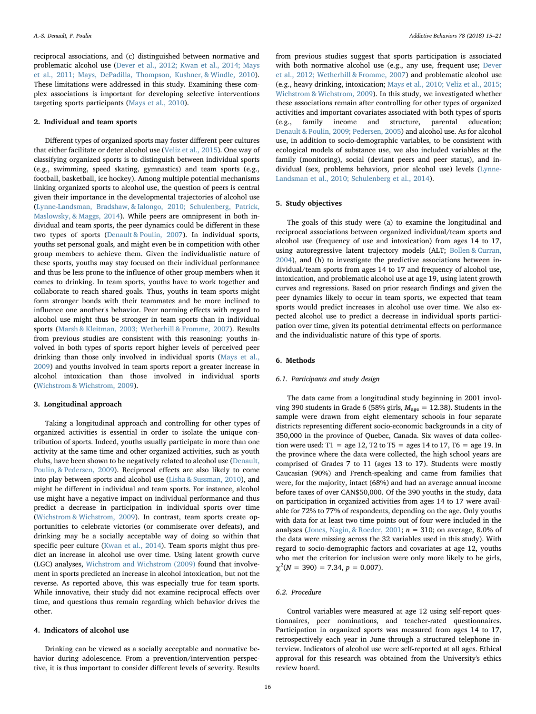reciprocal associations, and (c) distinguished between normative and problematic alcohol use ([Dever et al., 2012; Kwan et al., 2014; Mays](#page-6-2) [et al., 2011; Mays, DePadilla, Thompson, Kushner, & Windle, 2010](#page-6-2)). These limitations were addressed in this study. Examining these complex associations is important for developing selective interventions targeting sports participants [\(Mays et al., 2010](#page-6-4)).

## 2. Individual and team sports

Different types of organized sports may foster different peer cultures that either facilitate or deter alcohol use ([Veliz et al., 2015\)](#page-6-5). One way of classifying organized sports is to distinguish between individual sports (e.g., swimming, speed skating, gymnastics) and team sports (e.g., football, basketball, ice hockey). Among multiple potential mechanisms linking organized sports to alcohol use, the question of peers is central given their importance in the developmental trajectories of alcohol use ([Lynne-Landsman, Bradshaw, & Ialongo, 2010; Schulenberg, Patrick,](#page-6-6) [Maslowsky, & Maggs, 2014](#page-6-6)). While peers are omnipresent in both individual and team sports, the peer dynamics could be different in these two types of sports [\(Denault & Poulin, 2007](#page-6-7)). In individual sports, youths set personal goals, and might even be in competition with other group members to achieve them. Given the individualistic nature of these sports, youths may stay focused on their individual performance and thus be less prone to the influence of other group members when it comes to drinking. In team sports, youths have to work together and collaborate to reach shared goals. Thus, youths in team sports might form stronger bonds with their teammates and be more inclined to influence one another's behavior. Peer norming effects with regard to alcohol use might thus be stronger in team sports than in individual sports ([Marsh & Kleitman, 2003; Wetherhill & Fromme, 2007](#page-6-8)). Results from previous studies are consistent with this reasoning: youths involved in both types of sports report higher levels of perceived peer drinking than those only involved in individual sports [\(Mays et al.,](#page-6-9) [2009\)](#page-6-9) and youths involved in team sports report a greater increase in alcohol intoxication than those involved in individual sports ([Wichstrom & Wichstrom, 2009\)](#page-6-10).

### 3. Longitudinal approach

Taking a longitudinal approach and controlling for other types of organized activities is essential in order to isolate the unique contribution of sports. Indeed, youths usually participate in more than one activity at the same time and other organized activities, such as youth clubs, have been shown to be negatively related to alcohol use ([Denault,](#page-6-11) [Poulin, & Pedersen, 2009\)](#page-6-11). Reciprocal effects are also likely to come into play between sports and alcohol use ([Lisha & Sussman, 2010\)](#page-6-12), and might be different in individual and team sports. For instance, alcohol use might have a negative impact on individual performance and thus predict a decrease in participation in individual sports over time ([Wichstrom & Wichstrom, 2009](#page-6-10)). In contrast, team sports create opportunities to celebrate victories (or commiserate over defeats), and drinking may be a socially acceptable way of doing so within that specific peer culture ([Kwan et al., 2014](#page-6-13)). Team sports might thus predict an increase in alcohol use over time. Using latent growth curve (LGC) analyses, [Wichstrom and Wichstrom \(2009\)](#page-6-10) found that involvement in sports predicted an increase in alcohol intoxication, but not the reverse. As reported above, this was especially true for team sports. While innovative, their study did not examine reciprocal effects over time, and questions thus remain regarding which behavior drives the other.

#### 4. Indicators of alcohol use

Drinking can be viewed as a socially acceptable and normative behavior during adolescence. From a prevention/intervention perspective, it is thus important to consider different levels of severity. Results

from previous studies suggest that sports participation is associated with both normative alcohol use (e.g., any use, frequent use; [Dever](#page-6-2) [et al., 2012; Wetherhill & Fromme, 2007\)](#page-6-2) and problematic alcohol use (e.g., heavy drinking, intoxication; [Mays et al., 2010; Veliz et al., 2015;](#page-6-4) [Wichstrom & Wichstrom, 2009](#page-6-4)). In this study, we investigated whether these associations remain after controlling for other types of organized activities and important covariates associated with both types of sports (e.g., family income and structure, parental education; [Denault & Poulin, 2009; Pedersen, 2005\)](#page-6-14) and alcohol use. As for alcohol use, in addition to socio-demographic variables, to be consistent with ecological models of substance use, we also included variables at the family (monitoring), social (deviant peers and peer status), and individual (sex, problems behaviors, prior alcohol use) levels ([Lynne-](#page-6-6)[Landsman et al., 2010; Schulenberg et al., 2014\)](#page-6-6).

## 5. Study objectives

The goals of this study were (a) to examine the longitudinal and reciprocal associations between organized individual/team sports and alcohol use (frequency of use and intoxication) from ages 14 to 17, using autoregressive latent trajectory models (ALT; [Bollen & Curran,](#page-5-2) [2004\)](#page-5-2), and (b) to investigate the predictive associations between individual/team sports from ages 14 to 17 and frequency of alcohol use, intoxication, and problematic alcohol use at age 19, using latent growth curves and regressions. Based on prior research findings and given the peer dynamics likely to occur in team sports, we expected that team sports would predict increases in alcohol use over time. We also expected alcohol use to predict a decrease in individual sports participation over time, given its potential detrimental effects on performance and the individualistic nature of this type of sports.

## 6. Methods

## 6.1. Participants and study design

The data came from a longitudinal study beginning in 2001 involving 390 students in Grade 6 (58% girls,  $M_{\text{age}} = 12.38$ ). Students in the sample were drawn from eight elementary schools in four separate districts representing different socio-economic backgrounds in a city of 350,000 in the province of Quebec, Canada. Six waves of data collection were used: T1 = age 12, T2 to T5 = ages 14 to 17, T6 = age 19. In the province where the data were collected, the high school years are comprised of Grades 7 to 11 (ages 13 to 17). Students were mostly Caucasian (90%) and French-speaking and came from families that were, for the majority, intact (68%) and had an average annual income before taxes of over CAN\$50,000. Of the 390 youths in the study, data on participation in organized activities from ages 14 to 17 were available for 72% to 77% of respondents, depending on the age. Only youths with data for at least two time points out of four were included in the analyses ([Jones, Nagin, & Roeder, 2001](#page-6-15);  $n = 310$ ; on average, 8.0% of the data were missing across the 32 variables used in this study). With regard to socio-demographic factors and covariates at age 12, youths who met the criterion for inclusion were only more likely to be girls,  $\chi^2(N = 390) = 7.34, p = 0.007$ ).

## 6.2. Procedure

Control variables were measured at age 12 using self-report questionnaires, peer nominations, and teacher-rated questionnaires. Participation in organized sports was measured from ages 14 to 17, retrospectively each year in June through a structured telephone interview. Indicators of alcohol use were self-reported at all ages. Ethical approval for this research was obtained from the University's ethics review board.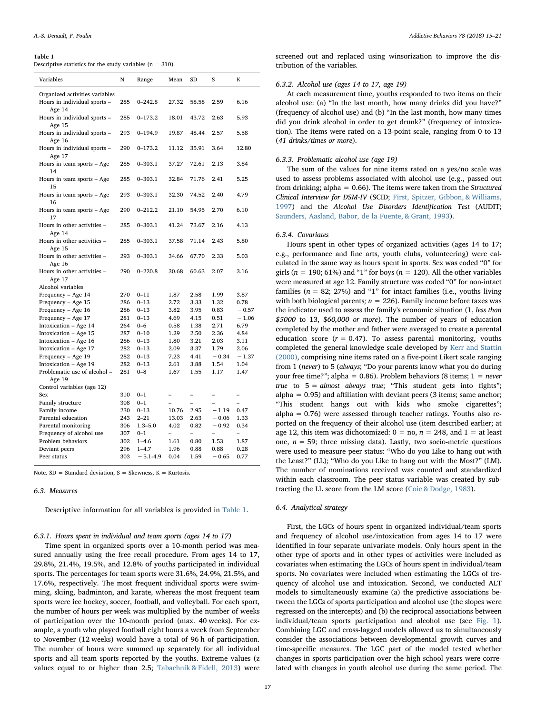#### <span id="page-2-0"></span>Table 1

Descriptive statistics for the study variables ( $n = 310$ ).

| Variables                        | N   | Range        | Mean                     | SD    | S       | K                        |
|----------------------------------|-----|--------------|--------------------------|-------|---------|--------------------------|
| Organized activities variables   |     |              |                          |       |         |                          |
| Hours in individual sports -     | 285 | $0 - 242.8$  | 27.32                    | 58.58 | 2.59    | 6.16                     |
| Age 14                           |     |              |                          |       |         |                          |
| Hours in individual sports -     | 285 | $0 - 173.2$  | 18.01                    | 43.72 | 2.63    | 5.93                     |
| Age 15                           |     |              |                          |       |         |                          |
| Hours in individual sports -     | 293 | $0 - 194.9$  | 19.87                    | 48.44 | 2.57    | 5.58                     |
| Age 16                           |     |              |                          |       |         |                          |
| Hours in individual sports -     | 290 | $0 - 173.2$  | 11.12                    | 35.91 | 3.64    | 12.80                    |
| Age 17                           | 285 | $0 - 303.1$  | 37.27                    | 72.61 | 2.13    | 3.84                     |
| Hours in team sports - Age<br>14 |     |              |                          |       |         |                          |
| Hours in team sports - Age       | 285 | $0 - 303.1$  | 32.84                    | 71.76 | 2.41    | 5.25                     |
| 15                               |     |              |                          |       |         |                          |
| Hours in team sports - Age       | 293 | $0 - 303.1$  | 32.30                    | 74.52 | 2.40    | 4.79                     |
| 16                               |     |              |                          |       |         |                          |
| Hours in team sports – Age       | 290 | $0 - 212.2$  | 21.10                    | 54.95 | 2.70    | 6.10                     |
| 17                               |     |              |                          |       |         |                          |
| Hours in other activities -      | 285 | $0 - 303.1$  | 41.24                    | 73.67 | 2.16    | 4.13                     |
| Age 14                           |     |              |                          |       |         |                          |
| Hours in other activities -      | 285 | $0 - 303.1$  | 37.58                    | 71.14 | 2.43    | 5.80                     |
| Age 15                           |     |              |                          |       |         |                          |
| Hours in other activities -      | 293 | $0 - 303.1$  | 34.66                    | 67.70 | 2.33    | 5.03                     |
| Age 16                           |     |              |                          |       |         |                          |
| Hours in other activities -      | 290 | $0 - 220.8$  | 30.68                    | 60.63 | 2.07    | 3.16                     |
| Age 17<br>Alcohol variables      |     |              |                          |       |         |                          |
| Frequency - Age 14               | 270 | $0 - 11$     | 1.87                     | 2.58  | 1.99    | 3.87                     |
| Frequency - Age 15               | 286 | $0 - 13$     | 2.72                     | 3.33  | 1.32    | 0.78                     |
| Frequency - Age 16               | 286 | $0 - 13$     | 3.82                     | 3.95  | 0.83    | $-0.57$                  |
| Frequency - Age 17               | 281 | $0 - 13$     | 4.69                     | 4.15  | 0.51    | $-1.06$                  |
| Intoxication - Age 14            | 264 | $0 - 6$      | 0.58                     | 1.38  | 2.71    | 6.79                     |
| Intoxication - Age 15            | 287 | $0 - 10$     | 1.29                     | 2.50  | 2.36    | 4.84                     |
| Intoxication - Age 16            | 286 | $0 - 13$     | 1.80                     | 3.21  | 2.03    | 3.11                     |
| Intoxication - Age 17            | 282 | $0 - 13$     | 2.09                     | 3.37  | 1.79    | 2.06                     |
| Frequency - Age 19               | 282 | $0 - 13$     | 7.23                     | 4.41  | $-0.34$ | $-1.37$                  |
| Intoxication - Age 19            | 282 | $0 - 13$     | 2.61                     | 3.88  | 1.54    | 1.04                     |
| Problematic use of alcohol -     | 281 | $0 - 8$      | 1.67                     | 1.55  | 1.17    | 1.47                     |
| Age 19                           |     |              |                          |       |         |                          |
| Control variables (age 12)       |     |              |                          |       |         |                          |
| Sex                              | 310 | $0 - 1$      | -                        | -     | -       | -                        |
| Family structure                 | 308 | $0 - 1$      |                          |       |         |                          |
| Family income                    | 230 | $0 - 13$     | 10.76                    | 2.95  | $-1.19$ | 0.47                     |
| Parental education               | 243 | $2 - 21$     | 13.03                    | 2.63  | $-0.06$ | 1.33                     |
| Parental monitoring              | 306 | $1.3 - 5.0$  | 4.02                     | 0.82  | $-0.92$ | 0.34                     |
| Frequency of alcohol use         | 307 | $0 - 1$      | $\overline{\phantom{0}}$ | -     |         | $\overline{\phantom{0}}$ |
| Problem behaviors                | 302 | $1 - 4.6$    | 1.61                     | 0.80  | 1.53    | 1.87                     |
| Deviant peers                    | 296 | $1 - 4.7$    | 1.96                     | 0.88  | 0.88    | 0.28                     |
| Peer status                      | 303 | $-5.1 - 4.9$ | 0.04                     | 1.59  | $-0.65$ | 0.77                     |

Note.  $SD = Standard deviation$ ,  $S = Skewness$ ,  $K = Kurtosis$ .

#### 6.3. Measures

Descriptive information for all variables is provided in [Table 1.](#page-2-0)

## 6.3.1. Hours spent in individual and team sports (ages 14 to 17)

Time spent in organized sports over a 10-month period was measured annually using the free recall procedure. From ages 14 to 17, 29.8%, 21.4%, 19.5%, and 12.8% of youths participated in individual sports. The percentages for team sports were 31.6%, 24.9%, 21.5%, and 17.6%, respectively. The most frequent individual sports were swimming, skiing, badminton, and karate, whereas the most frequent team sports were ice hockey, soccer, football, and volleyball. For each sport, the number of hours per week was multiplied by the number of weeks of participation over the 10-month period (max. 40 weeks). For example, a youth who played football eight hours a week from September to November (12 weeks) would have a total of 96 h of participation. The number of hours were summed up separately for all individual sports and all team sports reported by the youths. Extreme values (z values equal to or higher than 2.5; [Tabachnik & Fidell, 2013](#page-6-16)) were screened out and replaced using winsorization to improve the distribution of the variables.

### 6.3.2. Alcohol use (ages 14 to 17, age 19)

At each measurement time, youths responded to two items on their alcohol use: (a) "In the last month, how many drinks did you have?" (frequency of alcohol use) and (b) "In the last month, how many times did you drink alcohol in order to get drunk?" (frequency of intoxication). The items were rated on a 13-point scale, ranging from 0 to 13 (41 drinks/times or more).

#### 6.3.3. Problematic alcohol use (age 19)

The sum of the values for nine items rated on a yes/no scale was used to assess problems associated with alcohol use (e.g., passed out from drinking; alpha =  $0.66$ ). The items were taken from the *Structured* Clinical Interview for DSM-IV (SCID; [First, Spitzer, Gibbon, & Williams,](#page-6-17) [1997\)](#page-6-17) and the Alcohol Use Disorders Identification Test (AUDIT; [Saunders, Aasland, Babor, de la Fuente, & Grant, 1993\)](#page-6-18).

#### 6.3.4. Covariates

Hours spent in other types of organized activities (ages 14 to 17; e.g., performance and fine arts, youth clubs, volunteering) were calculated in the same way as hours spent in sports. Sex was coded "0" for girls ( $n = 190$ ; 61%) and "1" for boys ( $n = 120$ ). All the other variables were measured at age 12. Family structure was coded "0" for non-intact families ( $n = 82$ ; 27%) and "1" for intact families (i.e., youths living with both biological parents;  $n = 226$ ). Family income before taxes was the indicator used to assess the family's economic situation (1, less than \$5000 to 13, \$60,000 or more). The number of years of education completed by the mother and father were averaged to create a parental education score ( $r = 0.47$ ). To assess parental monitoring, youths completed the general knowledge scale developed by [Kerr and Stattin](#page-6-19) [\(2000\),](#page-6-19) comprising nine items rated on a five-point Likert scale ranging from 1 (never) to 5 (always; "Do your parents know what you do during your free time?"; alpha = 0.86). Problem behaviors (8 items;  $1 = never$ true to  $5 =$  almost always true; "This student gets into fights"; alpha =  $0.95$ ) and affiliation with deviant peers (3 items; same anchor; "This student hangs out with kids who smoke cigarettes"; alpha = 0.76) were assessed through teacher ratings. Youths also reported on the frequency of their alcohol use (item described earlier; at age 12, this item was dichotomized:  $0 = \text{no}$ ,  $n = 248$ , and  $1 = \text{at least}$ one,  $n = 59$ ; three missing data). Lastly, two socio-metric questions were used to measure peer status: "Who do you Like to hang out with the Least?" (LL); "Who do you Like to hang out with the Most?" (LM). The number of nominations received was counted and standardized within each classroom. The peer status variable was created by subtracting the LL score from the LM score ([Coie & Dodge, 1983](#page-5-3)).

#### 6.4. Analytical strategy

First, the LGCs of hours spent in organized individual/team sports and frequency of alcohol use/intoxication from ages 14 to 17 were identified in four separate univariate models. Only hours spent in the other type of sports and in other types of activities were included as covariates when estimating the LGCs of hours spent in individual/team sports. No covariates were included when estimating the LGCs of frequency of alcohol use and intoxication. Second, we conducted ALT models to simultaneously examine (a) the predictive associations between the LGCs of sports participation and alcohol use (the slopes were regressed on the intercepts) and (b) the reciprocal associations between individual/team sports participation and alcohol use (see [Fig. 1](#page-3-0)). Combining LGC and cross-lagged models allowed us to simultaneously consider the associations between developmental growth curves and time-specific measures. The LGC part of the model tested whether changes in sports participation over the high school years were correlated with changes in youth alcohol use during the same period. The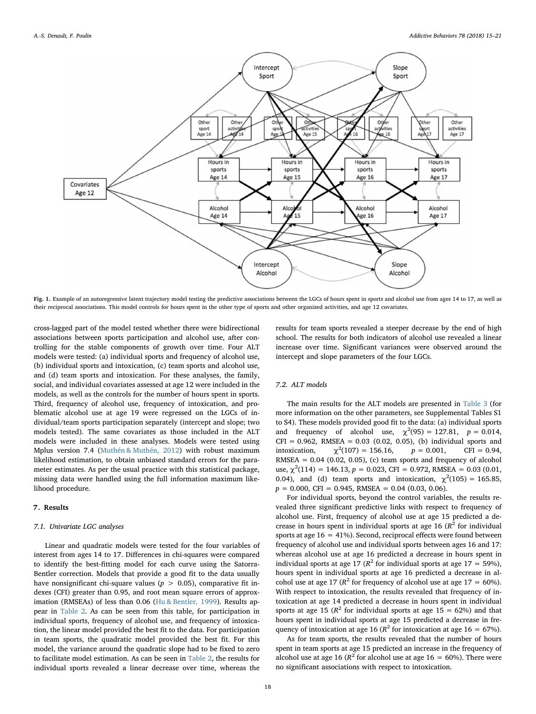<span id="page-3-0"></span>

Fig. 1. Example of an autoregressive latent trajectory model testing the predictive associations between the LGCs of hours spent in sports and alcohol use from ages 14 to 17, as well as their reciprocal associations. This model controls for hours spent in the other type of sports and other organized activities, and age 12 covariates.

cross-lagged part of the model tested whether there were bidirectional associations between sports participation and alcohol use, after controlling for the stable components of growth over time. Four ALT models were tested: (a) individual sports and frequency of alcohol use, (b) individual sports and intoxication, (c) team sports and alcohol use, and (d) team sports and intoxication. For these analyses, the family, social, and individual covariates assessed at age 12 were included in the models, as well as the controls for the number of hours spent in sports. Third, frequency of alcohol use, frequency of intoxication, and problematic alcohol use at age 19 were regressed on the LGCs of individual/team sports participation separately (intercept and slope; two models tested). The same covariates as those included in the ALT models were included in these analyses. Models were tested using Mplus version 7.4 ([Muthén & Muthén, 2012](#page-6-20)) with robust maximum likelihood estimation, to obtain unbiased standard errors for the parameter estimates. As per the usual practice with this statistical package, missing data were handled using the full information maximum likelihood procedure.

#### 7. Results

## 7.1. Univariate LGC analyses

Linear and quadratic models were tested for the four variables of interest from ages 14 to 17. Differences in chi-squares were compared to identify the best-fitting model for each curve using the Satorra-Bentler correction. Models that provide a good fit to the data usually have nonsignificant chi-square values ( $p > 0.05$ ), comparative fit indexes (CFI) greater than 0.95, and root mean square errors of approximation (RMSEAs) of less than 0.06 [\(Hu & Bentler, 1999](#page-6-21)). Results appear in [Table 2.](#page-4-0) As can be seen from this table, for participation in individual sports, frequency of alcohol use, and frequency of intoxication, the linear model provided the best fit to the data. For participation in team sports, the quadratic model provided the best fit. For this model, the variance around the quadratic slope had to be fixed to zero to facilitate model estimation. As can be seen in [Table 2](#page-4-0), the results for individual sports revealed a linear decrease over time, whereas the

results for team sports revealed a steeper decrease by the end of high school. The results for both indicators of alcohol use revealed a linear increase over time. Significant variances were observed around the intercept and slope parameters of the four LGCs.

## 7.2. ALT models

The main results for the ALT models are presented in [Table 3](#page-4-1) (for more information on the other parameters, see Supplemental Tables S1 to S4). These models provided good fit to the data: (a) individual sports and frequency of alcohol use,  $\chi^2(95) = 127.81$ ,  $p = 0.014$ ,  $CFI = 0.962$ , RMSEA = 0.03 (0.02, 0.05), (b) individual sports and intoxication.  $\chi^2(107) = 156.16$ ,  $p = 0.001$ , CFI = 0.94, RMSEA =  $0.04$  (0.02, 0.05), (c) team sports and frequency of alcohol use,  $\chi^2(114) = 146.13$ ,  $p = 0.023$ , CFI = 0.972, RMSEA = 0.03 (0.01, 0.04), and (d) team sports and intoxication,  $\chi^2(105) = 165.85$ ,  $p = 0.000$ , CFI = 0.945, RMSEA = 0.04 (0.03, 0.06).

For individual sports, beyond the control variables, the results revealed three significant predictive links with respect to frequency of alcohol use. First, frequency of alcohol use at age 15 predicted a decrease in hours spent in individual sports at age 16  $(R^2$  for individual sports at age  $16 = 41\%$ ). Second, reciprocal effects were found between frequency of alcohol use and individual sports between ages 16 and 17: whereas alcohol use at age 16 predicted a decrease in hours spent in individual sports at age 17 ( $R^2$  for individual sports at age 17 = 59%), hours spent in individual sports at age 16 predicted a decrease in alcohol use at age 17 ( $R^2$  for frequency of alcohol use at age 17 = 60%). With respect to intoxication, the results revealed that frequency of intoxication at age 14 predicted a decrease in hours spent in individual sports at age 15 ( $\mathbb{R}^2$  for individual sports at age 15 = 62%) and that hours spent in individual sports at age 15 predicted a decrease in frequency of intoxication at age 16 ( $R^2$  for intoxication at age 16 = 67%).

As for team sports, the results revealed that the number of hours spent in team sports at age 15 predicted an increase in the frequency of alcohol use at age 16 ( $R^2$  for alcohol use at age 16 = 60%). There were no significant associations with respect to intoxication.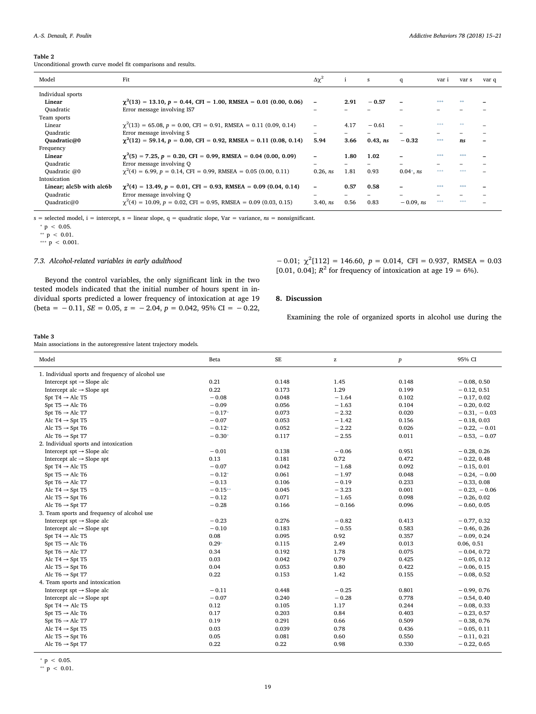#### <span id="page-4-0"></span>Table 2

Unconditional growth curve model fit comparisons and results.

| Model                    | Fit                                                                         | $\Delta \chi^2$ |      | s        | q             | var i      | var s | var q |
|--------------------------|-----------------------------------------------------------------------------|-----------------|------|----------|---------------|------------|-------|-------|
| Individual sports        |                                                                             |                 |      |          |               |            |       |       |
| Linear                   | $\gamma^2(13) = 13.10$ , $p = 0.44$ , CFI = 1.00, RMSEA = 0.01 (0.00, 0.06) | ۰               | 2.91 | $-0.57$  |               | dealership |       |       |
| Ouadratic                | Error message involving IS7                                                 |                 |      |          |               |            |       |       |
| Team sports              |                                                                             |                 |      |          |               |            |       |       |
| Linear                   | $\gamma^2(13) = 65.08$ , $p = 0.00$ , CFI = 0.91, RMSEA = 0.11 (0.09, 0.14) |                 | 4.17 | $-0.61$  |               | 含定定        | 米米    |       |
| Quadratic                | Error message involving S                                                   |                 |      |          |               |            |       |       |
| Ouadratic@0              | $\gamma^2(12) = 59.14$ , $p = 0.00$ , CFI = 0.92, RMSEA = 0.11 (0.08, 0.14) | 5.94            | 3.66 | 0.43, ns | $-0.32$       | 本来水        | ns    |       |
| Frequency                |                                                                             |                 |      |          |               |            |       |       |
| Linear                   | $\gamma^2$ (5) = 7.25, p = 0.20, CFI = 0.99, RMSEA = 0.04 (0.00, 0.09)      |                 | 1.80 | 1.02     |               |            | 事事事   |       |
| Ouadratic                | Error message involving O                                                   | -               |      |          |               |            |       |       |
| Quadratic @0             | $\gamma^2(4) = 6.99$ , $p = 0.14$ , CFI = 0.99, RMSEA = 0.05 (0.00, 0.11)   | $0.26.$ $ns$    | 1.81 | 0.93     | $0.04^*$ , ns | ***        | 本本来   |       |
| Intoxication             |                                                                             |                 |      |          |               |            |       |       |
| Linear; alc5b with alc6b | $\chi^2(4) = 13.49$ , $p = 0.01$ , CFI = 0.93, RMSEA = 0.09 (0.04, 0.14)    |                 | 0.57 | 0.58     |               |            |       |       |
| Quadratic                | Error message involving Q                                                   |                 |      |          |               |            |       |       |
| Quadratic@0              | $\gamma^2(4) = 10.09$ , $p = 0.02$ , CFI = 0.95, RMSEA = 0.09 (0.03, 0.15)  | 3.40, ns        | 0.56 | 0.83     | $-0.09$ , ns  | ***        | 本本来   |       |

 $s =$  selected model,  $i =$  intercept,  $s =$  linear slope,  $q =$  quadratic slope,  $Var =$  variance,  $ns =$  nonsignificant.

Beyond the control variables, the only significant link in the two tested models indicated that the initial number of hours spent in individual sports predicted a lower frequency of intoxication at age 19 (beta =  $-0.11$ , SE = 0.05, z =  $-2.04$ ,  $p = 0.042$ , 95% CI =  $-0.22$ ,

<span id="page-4-4"></span> $* p < 0.05.$ 

<span id="page-4-3"></span>\*\*  $p < 0.01$ .

<span id="page-4-2"></span>\*\*\*  $p$  < 0.001.

### 7.3. Alcohol-related variables in early adulthood

 $-0.01$ ;  $\chi^2$ [112] = 146.60, *p* = 0.014, CFI = 0.937, RMSEA = 0.03 [0.01, 0.04];  $R^2$  for frequency of intoxication at age 19 = 6%).

## 8. Discussion

Examining the role of organized sports in alcohol use during the

## <span id="page-4-1"></span>Table 3

Main associations in the autoregressive latent trajectory models.

| Model                                             | Beta      | SE    | $\mathbf{z}$ | $\boldsymbol{p}$ | 95% CI         |
|---------------------------------------------------|-----------|-------|--------------|------------------|----------------|
| 1. Individual sports and frequency of alcohol use |           |       |              |                  |                |
| Intercept $spt \rightarrow$ Slope alc             | 0.21      | 0.148 | 1.45         | 0.148            | $-0.08, 0.50$  |
| Intercept alc $\rightarrow$ Slope spt             | 0.22      | 0.173 | 1.29         | 0.199            | $-0.12, 0.51$  |
| Spt T4 $\rightarrow$ Alc T5                       | $-0.08$   | 0.048 | $-1.64$      | 0.102            | $-0.17, 0.02$  |
| Spt T5 $\rightarrow$ Alc T6                       | $-0.09$   | 0.056 | $-1.63$      | 0.104            | $-0.20, 0.02$  |
| Spt T6 $\rightarrow$ Alc T7                       | $-0.17*$  | 0.073 | $-2.32$      | 0.020            | $-0.31, -0.03$ |
| Alc T4 $\rightarrow$ Spt T5                       | $-0.07$   | 0.053 | $-1.42$      | 0.156            | $-0.18, 0.03$  |
| Alc T5 $\rightarrow$ Spt T6                       | $-0.12*$  | 0.052 | $-2.22$      | 0.026            | $-0.22, -0.01$ |
| Alc T6 $\rightarrow$ Spt T7                       | $-0.30*$  | 0.117 | $-2.55$      | 0.011            | $-0.53, -0.07$ |
| 2. Individual sports and intoxication             |           |       |              |                  |                |
| Intercept $spt \rightarrow$ Slope alc             | $-0.01$   | 0.138 | $-0.06$      | 0.951            | $-0.28, 0.26$  |
| Intercept alc $\rightarrow$ Slope spt             | 0.13      | 0.181 | 0.72         | 0.472            | $-0.22, 0.48$  |
| Spt T4 $\rightarrow$ Alc T5                       | $-0.07$   | 0.042 | $-1.68$      | 0.092            | $-0.15, 0.01$  |
| Spt T5 $\rightarrow$ Alc T6                       | $-0.12*$  | 0.061 | $-1.97$      | 0.048            | $-0.24, -0.00$ |
| Spt T6 $\rightarrow$ Alc T7                       | $-0.13$   | 0.106 | $-0.19$      | 0.233            | $-0.33, 0.08$  |
| Alc T4 $\rightarrow$ Spt T5                       | $-0.15**$ | 0.045 | $-3.23$      | 0.001            | $-0.23, -0.06$ |
| Alc T5 $\rightarrow$ Spt T6                       | $-0.12$   | 0.071 | $-1.65$      | 0.098            | $-0.26, 0.02$  |
| Alc T6 $\rightarrow$ Spt T7                       | $-0.28$   | 0.166 | $-0.166$     | 0.096            | $-0.60, 0.05$  |
| 3. Team sports and frequency of alcohol use       |           |       |              |                  |                |
| Intercept $spt \rightarrow$ Slope alc             | $-0.23$   | 0.276 | $-0.82$      | 0.413            | $-0.77, 0.32$  |
| Intercept alc $\rightarrow$ Slope spt             | $-0.10$   | 0.183 | $-0.55$      | 0.583            | $-0.46, 0.26$  |
| Spt T4 $\rightarrow$ Alc T5                       | 0.08      | 0.095 | 0.92         | 0.357            | $-0.09, 0.24$  |
| Spt T5 $\rightarrow$ Alc T6                       | $0.29*$   | 0.115 | 2.49         | 0.013            | 0.06, 0.51     |
| Spt T6 $\rightarrow$ Alc T7                       | 0.34      | 0.192 | 1.78         | 0.075            | $-0.04, 0.72$  |
| Alc T4 $\rightarrow$ Spt T5                       | 0.03      | 0.042 | 0.79         | 0.425            | $-0.05, 0.12$  |
| Alc T5 $\rightarrow$ Spt T6                       | 0.04      | 0.053 | 0.80         | 0.422            | $-0.06, 0.15$  |
| Alc T6 $\rightarrow$ Spt T7                       | 0.22      | 0.153 | 1.42         | 0.155            | $-0.08, 0.52$  |
| 4. Team sports and intoxication                   |           |       |              |                  |                |
| Intercept $spt \rightarrow$ Slope alc             | $-0.11$   | 0.448 | $-0.25$      | 0.801            | $-0.99, 0.76$  |
| Intercept alc $\rightarrow$ Slope spt             | $-0.07$   | 0.240 | $-0.28$      | 0.778            | $-0.54, 0.40$  |
| Spt T4 $\rightarrow$ Alc T5                       | 0.12      | 0.105 | 1.17         | 0.244            | $-0.08, 0.33$  |
| Spt T5 $\rightarrow$ Alc T6                       | 0.17      | 0.203 | 0.84         | 0.403            | $-0.23, 0.57$  |
| Spt T6 $\rightarrow$ Alc T7                       | 0.19      | 0.291 | 0.66         | 0.509            | $-0.38, 0.76$  |
| Alc T4 $\rightarrow$ Spt T5                       | 0.03      | 0.039 | 0.78         | 0.436            | $-0.05, 0.11$  |
| Alc T5 $\rightarrow$ Spt T6                       | 0.05      | 0.081 | 0.60         | 0.550            | $-0.11, 0.21$  |
| Alc T6 $\rightarrow$ Spt T7                       | 0.22      | 0.22  | 0.98         | 0.330            | $-0.22, 0.65$  |
|                                                   |           |       |              |                  |                |

<span id="page-4-5"></span> $* p < 0.05.$ 

<span id="page-4-6"></span> $*$  p < 0.01.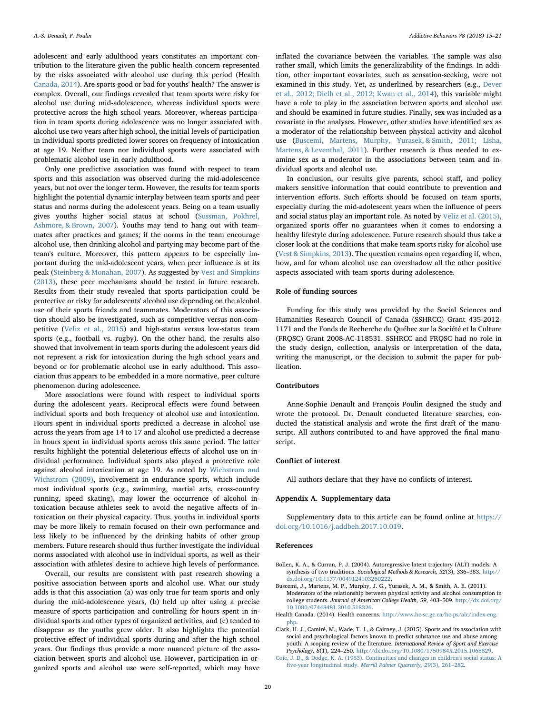adolescent and early adulthood years constitutes an important contribution to the literature given the public health concern represented by the risks associated with alcohol use during this period (Health [Canada, 2014\)](#page-5-0). Are sports good or bad for youths' health? The answer is complex. Overall, our findings revealed that team sports were risky for alcohol use during mid-adolescence, whereas individual sports were protective across the high school years. Moreover, whereas participation in team sports during adolescence was no longer associated with alcohol use two years after high school, the initial levels of participation in individual sports predicted lower scores on frequency of intoxication at age 19. Neither team nor individual sports were associated with problematic alcohol use in early adulthood.

Only one predictive association was found with respect to team sports and this association was observed during the mid-adolescence years, but not over the longer term. However, the results for team sports highlight the potential dynamic interplay between team sports and peer status and norms during the adolescent years. Being on a team usually gives youths higher social status at school [\(Sussman, Pokhrel,](#page-6-22) [Ashmore, & Brown, 2007\)](#page-6-22). Youths may tend to hang out with teammates after practices and games; if the norms in the team encourage alcohol use, then drinking alcohol and partying may become part of the team's culture. Moreover, this pattern appears to be especially important during the mid-adolescent years, when peer influence is at its peak ([Steinberg & Monahan, 2007](#page-6-23)). As suggested by [Vest and Simpkins](#page-6-24) [\(2013\),](#page-6-24) these peer mechanisms should be tested in future research. Results from their study revealed that sports participation could be protective or risky for adolescents' alcohol use depending on the alcohol use of their sports friends and teammates. Moderators of this association should also be investigated, such as competitive versus non-competitive ([Veliz et al., 2015](#page-6-5)) and high-status versus low-status team sports (e.g., football vs. rugby). On the other hand, the results also showed that involvement in team sports during the adolescent years did not represent a risk for intoxication during the high school years and beyond or for problematic alcohol use in early adulthood. This association thus appears to be embedded in a more normative, peer culture phenomenon during adolescence.

More associations were found with respect to individual sports during the adolescent years. Reciprocal effects were found between individual sports and both frequency of alcohol use and intoxication. Hours spent in individual sports predicted a decrease in alcohol use across the years from age 14 to 17 and alcohol use predicted a decrease in hours spent in individual sports across this same period. The latter results highlight the potential deleterious effects of alcohol use on individual performance. Individual sports also played a protective role against alcohol intoxication at age 19. As noted by [Wichstrom and](#page-6-10) [Wichstrom \(2009\),](#page-6-10) involvement in endurance sports, which include most individual sports (e.g., swimming, martial arts, cross-country running, speed skating), may lower the occurrence of alcohol intoxication because athletes seek to avoid the negative affects of intoxication on their physical capacity. Thus, youths in individual sports may be more likely to remain focused on their own performance and less likely to be influenced by the drinking habits of other group members. Future research should thus further investigate the individual norms associated with alcohol use in individual sports, as well as their association with athletes' desire to achieve high levels of performance.

Overall, our results are consistent with past research showing a positive association between sports and alcohol use. What our study adds is that this association (a) was only true for team sports and only during the mid-adolescence years, (b) held up after using a precise measure of sports participation and controlling for hours spent in individual sports and other types of organized activities, and (c) tended to disappear as the youths grew older. It also highlights the potential protective effect of individual sports during and after the high school years. Our findings thus provide a more nuanced picture of the association between sports and alcohol use. However, participation in organized sports and alcohol use were self-reported, which may have inflated the covariance between the variables. The sample was also rather small, which limits the generalizability of the findings. In addition, other important covariates, such as sensation-seeking, were not examined in this study. Yet, as underlined by researchers (e.g., [Dever](#page-6-2) [et al., 2012; Dielh et al., 2012; Kwan et al., 2014](#page-6-2)), this variable might have a role to play in the association between sports and alcohol use and should be examined in future studies. Finally, sex was included as a covariate in the analyses. However, other studies have identified sex as a moderator of the relationship between physical activity and alcohol use [\(Buscemi, Martens, Murphy, Yurasek, & Smith, 2011; Lisha,](#page-5-4) [Martens, & Leventhal, 2011\)](#page-5-4). Further research is thus needed to examine sex as a moderator in the associations between team and individual sports and alcohol use.

In conclusion, our results give parents, school staff, and policy makers sensitive information that could contribute to prevention and intervention efforts. Such efforts should be focused on team sports, especially during the mid-adolescent years when the influence of peers and social status play an important role. As noted by [Veliz et al. \(2015\)](#page-6-5), organized sports offer no guarantees when it comes to endorsing a healthy lifestyle during adolescence. Future research should thus take a closer look at the conditions that make team sports risky for alcohol use ([Vest & Simpkins, 2013\)](#page-6-24). The question remains open regarding if, when, how, and for whom alcohol use can overshadow all the other positive aspects associated with team sports during adolescence.

#### Role of funding sources

Funding for this study was provided by the Social Sciences and Humanities Research Council of Canada (SSHRCC) Grant 435-2012- 1171 and the Fonds de Recherche du Québec sur la Société et la Culture (FRQSC) Grant 2008-AC-118531. SSHRCC and FRQSC had no role in the study design, collection, analysis or interpretation of the data, writing the manuscript, or the decision to submit the paper for publication.

## Contributors

Anne-Sophie Denault and François Poulin designed the study and wrote the protocol. Dr. Denault conducted literature searches, conducted the statistical analysis and wrote the first draft of the manuscript. All authors contributed to and have approved the final manuscript.

## Conflict of interest

All authors declare that they have no conflicts of interest.

#### Appendix A. Supplementary data

Supplementary data to this article can be found online at [https://](https://doi.org/10.1016/j.addbeh.2017.10.019) [doi.org/10.1016/j.addbeh.2017.10.019](https://doi.org/10.1016/j.addbeh.2017.10.019).

#### References

- <span id="page-5-2"></span>Bollen, K. A., & Curran, P. J. (2004). Autoregressive latent trajectory (ALT) models: A synthesis of two traditions. Sociological Methods & Research, 32(3), 336–383. [http://](http://dx.doi.org/10.1177/0049124103260222) [dx.doi.org/10.1177/0049124103260222](http://dx.doi.org/10.1177/0049124103260222).
- <span id="page-5-4"></span>Buscemi, J., Martens, M. P., Murphy, J. G., Yurasek, A. M., & Smith, A. E. (2011). Moderators of the relationship between physical activity and alcohol consumption in college students. Journal of American College Health, 59, 403–509. [http://dx.doi.org/](http://dx.doi.org/10.1080/07448481.2010.518326) [10.1080/07448481.2010.518326](http://dx.doi.org/10.1080/07448481.2010.518326).
- <span id="page-5-0"></span>Health Canada. (2014). Health concerns. [http://www.hc-sc.gc.ca/hc-ps/alc/index-eng.](http://www.hc-sc.gc.ca/hc-ps/alc/index-eng.php) [php](http://www.hc-sc.gc.ca/hc-ps/alc/index-eng.php).
- <span id="page-5-1"></span>Clark, H. J., Camiré, M., Wade, T. J., & Cairney, J. (2015). Sports and its association with social and psychological factors known to predict substance use and abuse among youth: A scoping review of the literature. International Review of Sport and Exercise Psychology, 8(1), 224–250. <http://dx.doi.org/10.1080/1750984X.2015.1068829>.
- <span id="page-5-3"></span>[Coie, J. D., & Dodge, K. A. \(1983\). Continuities and changes in children's social status: A](http://refhub.elsevier.com/S0306-4603(17)30391-X/rf0015) five-year longitudinal study. [Merrill Palmer Quarterly, 29](http://refhub.elsevier.com/S0306-4603(17)30391-X/rf0015)(3), 261–282.